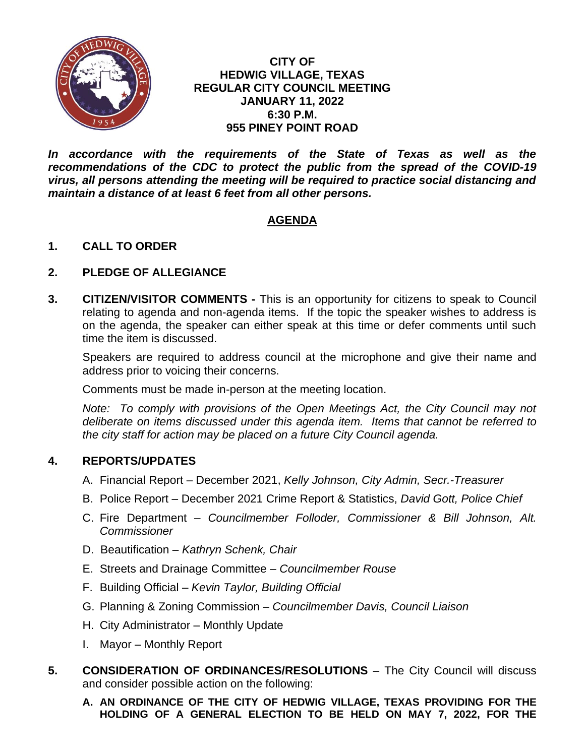

#### **CITY OF HEDWIG VILLAGE, TEXAS REGULAR CITY COUNCIL MEETING JANUARY 11, 2022 6:30 P.M. 955 PINEY POINT ROAD**

In accordance with the requirements of the State of Texas as well as the *recommendations of the CDC to protect the public from the spread of the COVID-19 virus, all persons attending the meeting will be required to practice social distancing and maintain a distance of at least 6 feet from all other persons.*

# **AGENDA**

## **1. CALL TO ORDER**

## **2. PLEDGE OF ALLEGIANCE**

**3. CITIZEN/VISITOR COMMENTS -** This is an opportunity for citizens to speak to Council relating to agenda and non-agenda items. If the topic the speaker wishes to address is on the agenda, the speaker can either speak at this time or defer comments until such time the item is discussed.

Speakers are required to address council at the microphone and give their name and address prior to voicing their concerns.

Comments must be made in-person at the meeting location.

*Note:* To comply with provisions of the Open Meetings Act, the City Council may not *deliberate on items discussed under this agenda item. Items that cannot be referred to the city staff for action may be placed on a future City Council agenda.*

#### **4. REPORTS/UPDATES**

- A. Financial Report December 2021, *Kelly Johnson, City Admin, Secr.-Treasurer*
- B. Police Report December 2021 Crime Report & Statistics, *David Gott, Police Chief*
- C. Fire Department *Councilmember Folloder, Commissioner & Bill Johnson, Alt. Commissioner*
- D. Beautification *Kathryn Schenk, Chair*
- E. Streets and Drainage Committee *Councilmember Rouse*
- F. Building Official *Kevin Taylor, Building Official*
- G. Planning & Zoning Commission *Councilmember Davis, Council Liaison*
- H. City Administrator Monthly Update
- I. Mayor Monthly Report
- **5. CONSIDERATION OF ORDINANCES/RESOLUTIONS** The City Council will discuss and consider possible action on the following:
	- **A. AN ORDINANCE OF THE CITY OF HEDWIG VILLAGE, TEXAS PROVIDING FOR THE HOLDING OF A GENERAL ELECTION TO BE HELD ON MAY 7, 2022, FOR THE**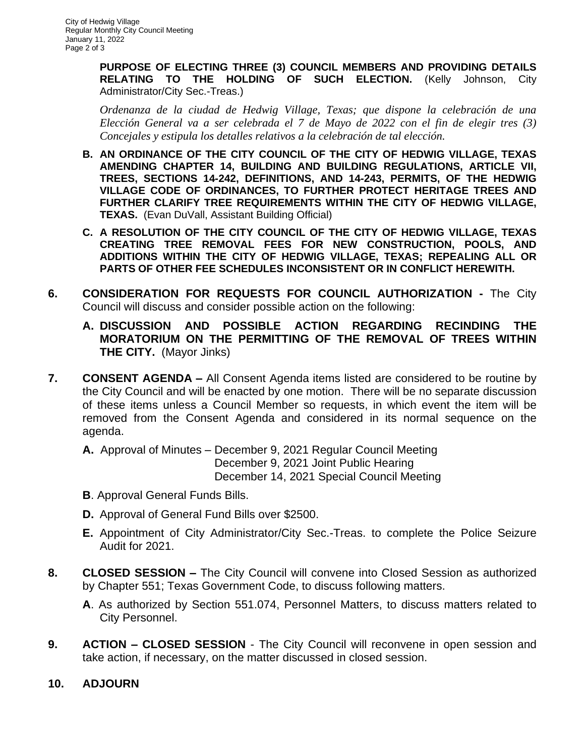**PURPOSE OF ELECTING THREE (3) COUNCIL MEMBERS AND PROVIDING DETAILS RELATING TO THE HOLDING OF SUCH ELECTION.** (Kelly Johnson, City Administrator/City Sec.-Treas.)

*Ordenanza de la ciudad de Hedwig Village, Texas; que dispone la celebración de una Elección General va a ser celebrada el 7 de Mayo de 2022 con el fin de elegir tres (3) Concejales y estipula los detalles relativos a la celebración de tal elección.*

- **B. AN ORDINANCE OF THE CITY COUNCIL OF THE CITY OF HEDWIG VILLAGE, TEXAS AMENDING CHAPTER 14, BUILDING AND BUILDING REGULATIONS, ARTICLE VII, TREES, SECTIONS 14-242, DEFINITIONS, AND 14-243, PERMITS, OF THE HEDWIG VILLAGE CODE OF ORDINANCES, TO FURTHER PROTECT HERITAGE TREES AND FURTHER CLARIFY TREE REQUIREMENTS WITHIN THE CITY OF HEDWIG VILLAGE, TEXAS.** (Evan DuVall, Assistant Building Official)
- **C. A RESOLUTION OF THE CITY COUNCIL OF THE CITY OF HEDWIG VILLAGE, TEXAS CREATING TREE REMOVAL FEES FOR NEW CONSTRUCTION, POOLS, AND ADDITIONS WITHIN THE CITY OF HEDWIG VILLAGE, TEXAS; REPEALING ALL OR PARTS OF OTHER FEE SCHEDULES INCONSISTENT OR IN CONFLICT HEREWITH.**
- **6. CONSIDERATION FOR REQUESTS FOR COUNCIL AUTHORIZATION -** The City Council will discuss and consider possible action on the following:
	- **A. DISCUSSION AND POSSIBLE ACTION REGARDING RECINDING THE MORATORIUM ON THE PERMITTING OF THE REMOVAL OF TREES WITHIN THE CITY.** (Mayor Jinks)
- **7. CONSENT AGENDA –** All Consent Agenda items listed are considered to be routine by the City Council and will be enacted by one motion. There will be no separate discussion of these items unless a Council Member so requests, in which event the item will be removed from the Consent Agenda and considered in its normal sequence on the agenda.
	- **A.** Approval of Minutes December 9, 2021 Regular Council Meeting December 9, 2021 Joint Public Hearing December 14, 2021 Special Council Meeting
	- **B**. Approval General Funds Bills.
	- **D.** Approval of General Fund Bills over \$2500.
	- **E.** Appointment of City Administrator/City Sec.-Treas. to complete the Police Seizure Audit for 2021.
- **8. CLOSED SESSION –** The City Council will convene into Closed Session as authorized by Chapter 551; Texas Government Code, to discuss following matters.
	- **A**. As authorized by Section 551.074, Personnel Matters, to discuss matters related to City Personnel.
- **9. ACTION – CLOSED SESSION** The City Council will reconvene in open session and take action, if necessary, on the matter discussed in closed session.
- **10. ADJOURN**